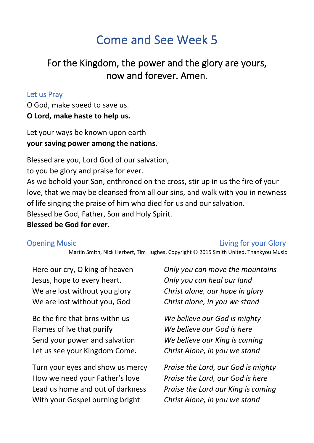# Come and See Week 5

## For the Kingdom, the power and the glory are yours, now and forever. Amen.

#### Let us Pray

O God, make speed to save us. **O Lord, make haste to help us.**

Let your ways be known upon earth **your saving power among the nations.**

Blessed are you, Lord God of our salvation,

to you be glory and praise for ever.

As we behold your Son, enthroned on the cross, stir up in us the fire of your love, that we may be cleansed from all our sins, and walk with you in newness of life singing the praise of him who died for us and our salvation. Blessed be God, Father, Son and Holy Spirit.

#### **Blessed be God for ever.**

#### **Opening Music Living for your Glory Contract Authority Contract Authority Contract Authority Contract Authority**

Martin Smith, Nick Herbert, Tim Hughes, Copyright © 2015 Smith United, Thankyou Music

Here our cry, O king of heaven Jesus, hope to every heart. We are lost without you glory We are lost without you, God

Be the fire that brns withn us Flames of lve that purify Send your power and salvation Let us see your Kingdom Come.

Turn your eyes and show us mercy How we need your Father's love Lead us home and out of darkness With your Gospel burning bright

*Only you can move the mountains Only you can heal our land Christ alone, our hope in glory Christ alone, in you we stand*

*We believe our God is mighty We believe our God is here We believe our King is coming Christ Alone, in you we stand*

*Praise the Lord, our God is mighty Praise the Lord, our God is here Praise the Lord our King is coming Christ Alone, in you we stand*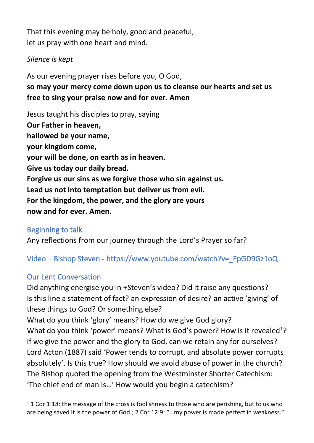That this evening may be holy, good and peaceful, let us pray with one heart and mind.

#### *Silence is kept*

As our evening prayer rises before you, O God, **so may your mercy come down upon us to cleanse our hearts and set us free to sing your praise now and for ever. Amen**

Jesus taught his disciples to pray, saying **Our Father in heaven, hallowed be your name, your kingdom come, your will be done, on earth as in heaven. Give us today our daily bread. Forgive us our sins as we forgive those who sin against us. Lead us not into temptation but deliver us from evil. For the kingdom, the power, and the glory are yours now and for ever. Amen.**

#### Beginning to talk

Any reflections from our journey through the Lord's Prayer so far?

#### Video – Bishop Steven - https://www.youtube.com/watch?v=\_FpGD9Gz1oQ

#### Our Lent Conversation

Did anything energise you in +Steven's video? Did it raise any questions? Is this line a statement of fact? an expression of desire? an active 'giving' of these things to God? Or something else? What do you think 'glory' means? How do we give God glory? What do you think 'power' means? What is God's power? How is it revealed<sup>1</sup>? If we give the power and the glory to God, can we retain any for ourselves? Lord Acton (1887) said 'Power tends to corrupt, and absolute power corrupts absolutely'. Is this true? How should we avoid abuse of power in the church?

The Bishop quoted the opening from the Westminster Shorter Catechism: 'The chief end of man is…' How would you begin a catechism?

 $11$  Cor 1:18: the message of the cross is foolishness to those who are perishing, but to us who are being saved it is the power of God.; 2 Cor 12:9: "…my power is made perfect in weakness."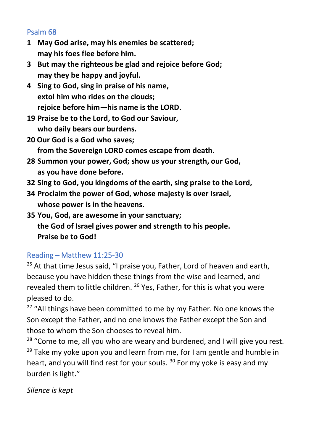#### Psalm 68

- **1 May God arise, may his enemies be scattered; may his foes flee before him.**
- **3 But may the righteous be glad and rejoice before God; may they be happy and joyful.**
- **4 Sing to God, sing in praise of his name, extol him who rides on the clouds; rejoice before him—his name is the LORD.**
- **19 Praise be to the Lord, to God our Saviour, who daily bears our burdens.**
- **20 Our God is a God who saves; from the Sovereign LORD comes escape from death.**
- **28 Summon your power, God; show us your strength, our God, as you have done before.**
- **32 Sing to God, you kingdoms of the earth, sing praise to the Lord,**
- **34 Proclaim the power of God, whose majesty is over Israel, whose power is in the heavens.**
- **35 You, God, are awesome in your sanctuary; the God of Israel gives power and strength to his people. Praise be to God!**

### Reading – Matthew 11:25-30

 $25$  At that time Jesus said, "I praise you, Father, Lord of heaven and earth, because you have hidden these things from the wise and learned, and revealed them to little children. <sup>26</sup> Yes, Father, for this is what you were pleased to do.

 $27$  "All things have been committed to me by my Father. No one knows the Son except the Father, and no one knows the Father except the Son and those to whom the Son chooses to reveal him.

<sup>28</sup> "Come to me, all you who are weary and burdened, and I will give you rest.  $29$  Take my yoke upon you and learn from me, for I am gentle and humble in heart, and you will find rest for your souls. <sup>30</sup> For my yoke is easy and my burden is light."

*Silence is kept*